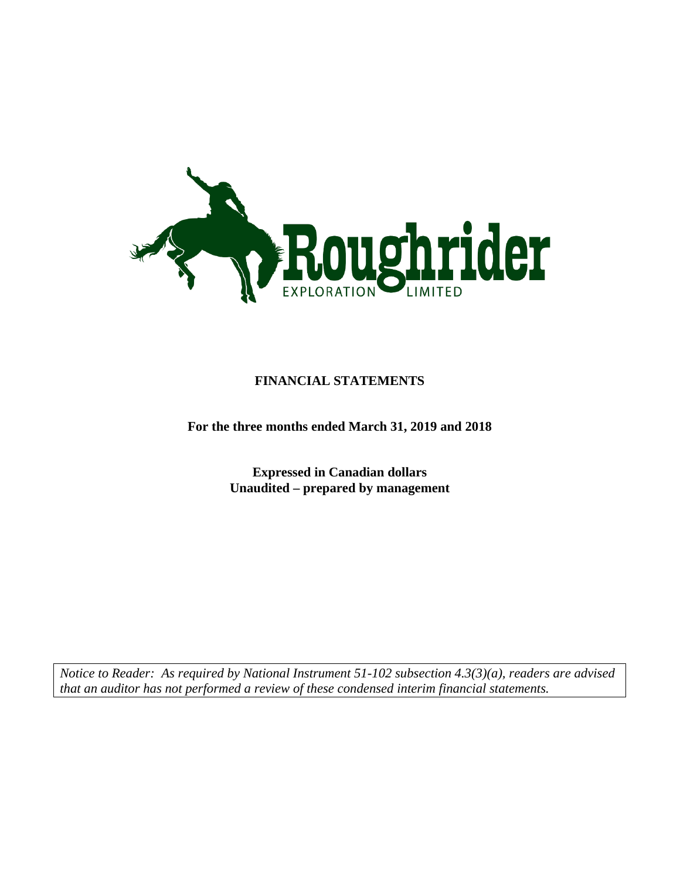

## **FINANCIAL STATEMENTS**

**For the three months ended March 31, 2019 and 2018**

**Expressed in Canadian dollars Unaudited – prepared by management**

*Notice to Reader: As required by National Instrument 51-102 subsection 4.3(3)(a), readers are advised that an auditor has not performed a review of these condensed interim financial statements.*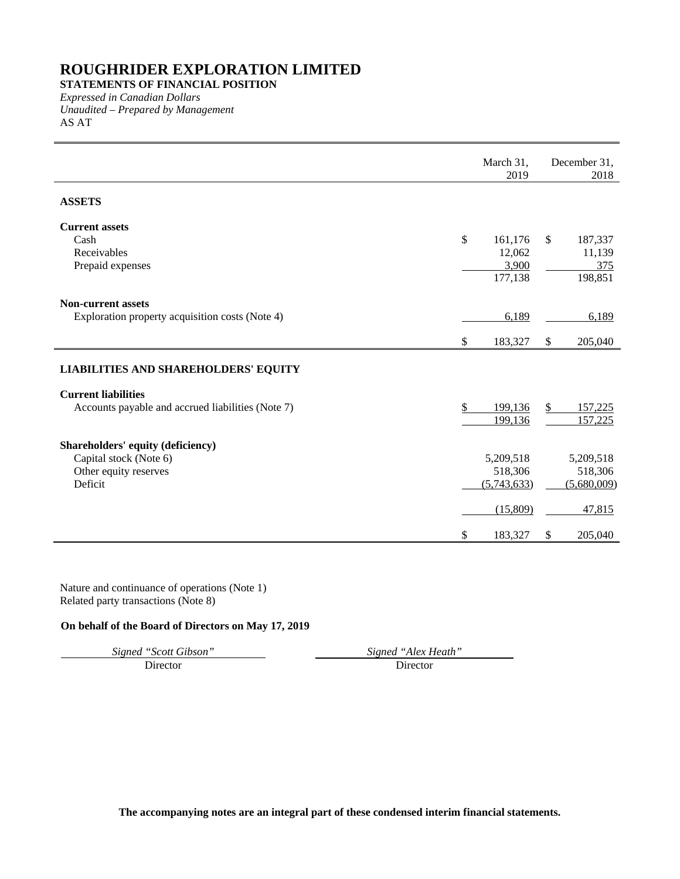**STATEMENTS OF FINANCIAL POSITION**

*Expressed in Canadian Dollars Unaudited – Prepared by Management* AS AT

|                                                             | March 31,<br>2019 |              | December 31,<br>2018 |
|-------------------------------------------------------------|-------------------|--------------|----------------------|
| <b>ASSETS</b>                                               |                   |              |                      |
| <b>Current assets</b>                                       |                   |              |                      |
| Cash                                                        | \$<br>161,176     | $\mathbb{S}$ | 187,337              |
| Receivables                                                 | 12,062            |              | 11,139               |
| Prepaid expenses                                            | 3,900             |              | 375                  |
|                                                             | 177,138           |              | 198,851              |
| <b>Non-current assets</b>                                   |                   |              |                      |
| Exploration property acquisition costs (Note 4)             | 6,189             |              | 6,189                |
|                                                             | \$<br>183,327     | \$           | 205,040              |
| <b>LIABILITIES AND SHAREHOLDERS' EQUITY</b>                 |                   |              |                      |
| <b>Current liabilities</b>                                  |                   |              |                      |
| Accounts payable and accrued liabilities (Note 7)           | \$<br>199,136     | \$           | 157,225              |
|                                                             | 199,136           |              | 157,225              |
|                                                             |                   |              |                      |
| Shareholders' equity (deficiency)<br>Capital stock (Note 6) | 5,209,518         |              | 5,209,518            |
| Other equity reserves                                       | 518,306           |              | 518,306              |
| Deficit                                                     | (5,743,633)       |              | (5,680,009)          |
|                                                             |                   |              |                      |
|                                                             | (15,809)          |              | 47,815               |
|                                                             | \$<br>183,327     | \$           | 205,040              |

Nature and continuance of operations (Note 1) Related party transactions (Note 8)

## **On behalf of the Board of Directors on May 17, 2019**

*Signed "Scott Gibson" Signed "Alex Heath"*

Director Director

**The accompanying notes are an integral part of these condensed interim financial statements.**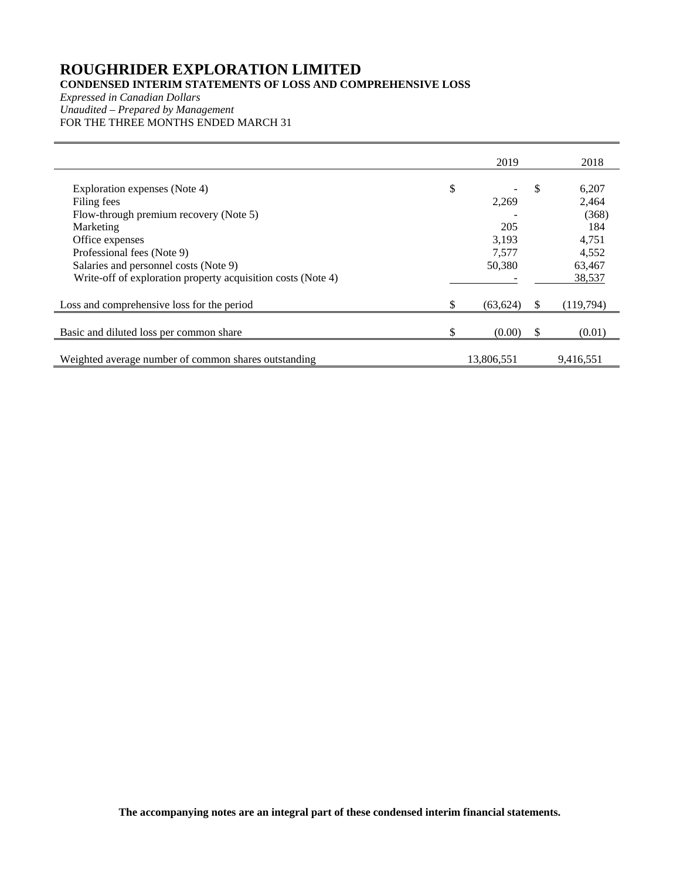## **CONDENSED INTERIM STATEMENTS OF LOSS AND COMPREHENSIVE LOSS**

*Expressed in Canadian Dollars Unaudited – Prepared by Management* FOR THE THREE MONTHS ENDED MARCH 31

|                                                              |     | 2019       |               | 2018      |
|--------------------------------------------------------------|-----|------------|---------------|-----------|
|                                                              |     |            |               |           |
| Exploration expenses (Note 4)                                | \$  |            | \$.           | 6,207     |
| Filing fees                                                  |     | 2,269      |               | 2,464     |
| Flow-through premium recovery (Note 5)                       |     |            |               | (368)     |
| Marketing                                                    |     | 205        |               | 184       |
| Office expenses                                              |     | 3,193      |               | 4,751     |
| Professional fees (Note 9)                                   |     | 7,577      |               | 4,552     |
| Salaries and personnel costs (Note 9)                        |     | 50,380     |               | 63,467    |
| Write-off of exploration property acquisition costs (Note 4) |     |            |               | 38,537    |
|                                                              |     |            |               |           |
| Loss and comprehensive loss for the period                   | \$. | (63, 624)  | <sup>\$</sup> | (119,794) |
|                                                              |     |            |               |           |
| Basic and diluted loss per common share                      | \$  | (0.00)     | -S            | (0.01)    |
|                                                              |     |            |               |           |
| Weighted average number of common shares outstanding         |     | 13,806,551 |               | 9,416,551 |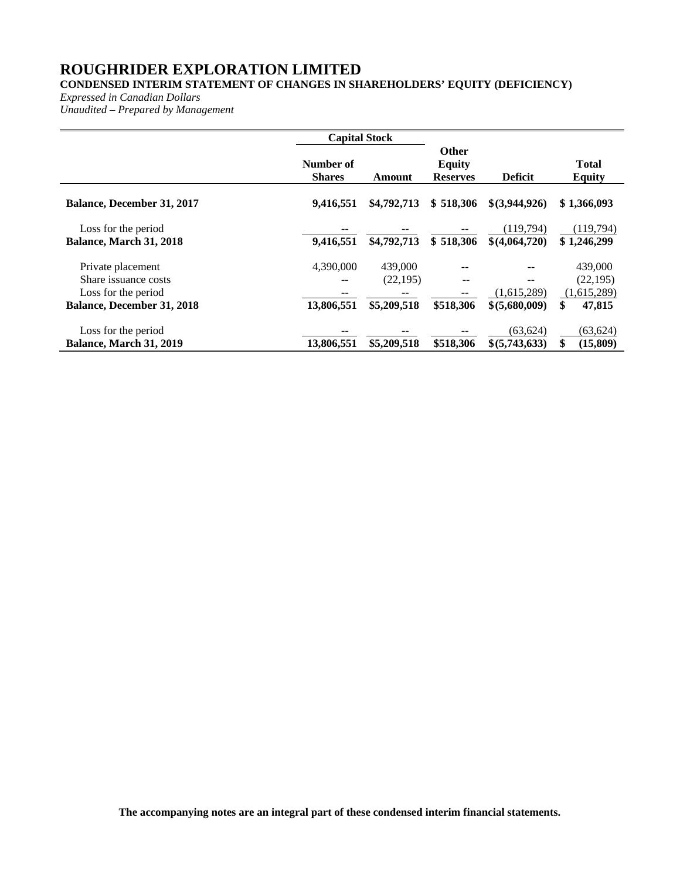## **CONDENSED INTERIM STATEMENT OF CHANGES IN SHAREHOLDERS' EQUITY (DEFICIENCY)**

*Expressed in Canadian Dollars*

*Unaudited – Prepared by Management*

|                                                                                                       | <b>Capital Stock</b>       |                                     |                                                  |                                     |                                                     |
|-------------------------------------------------------------------------------------------------------|----------------------------|-------------------------------------|--------------------------------------------------|-------------------------------------|-----------------------------------------------------|
|                                                                                                       | Number of<br><b>Shares</b> | Amount                              | <b>Other</b><br><b>Equity</b><br><b>Reserves</b> | <b>Deficit</b>                      | <b>Total</b><br>Equity                              |
| <b>Balance, December 31, 2017</b>                                                                     | 9,416,551                  | \$4,792,713                         | \$518,306                                        | \$(3,944,926)                       | \$1,366,093                                         |
| Loss for the period<br>Balance, March 31, 2018                                                        | 9,416,551                  | \$4,792,713                         | \$518,306                                        | (119, 794)<br>\$(4,064,720)         | (119,794)<br>\$1,246,299                            |
| Private placement<br>Share issuance costs<br>Loss for the period<br><b>Balance, December 31, 2018</b> | 4,390,000<br>13,806,551    | 439,000<br>(22, 195)<br>\$5,209,518 | --<br>$- -$<br>\$518,306                         | --<br>(1,615,289)<br>\$ (5,680,009) | 439,000<br>(22, 195)<br>(1,615,289)<br>\$<br>47,815 |
| Loss for the period<br>Balance, March 31, 2019                                                        | 13,806,551                 | \$5,209,518                         | \$518,306                                        | (63.624)<br>\$(5,743,633)           | (63, 624)<br>\$<br>(15, 809)                        |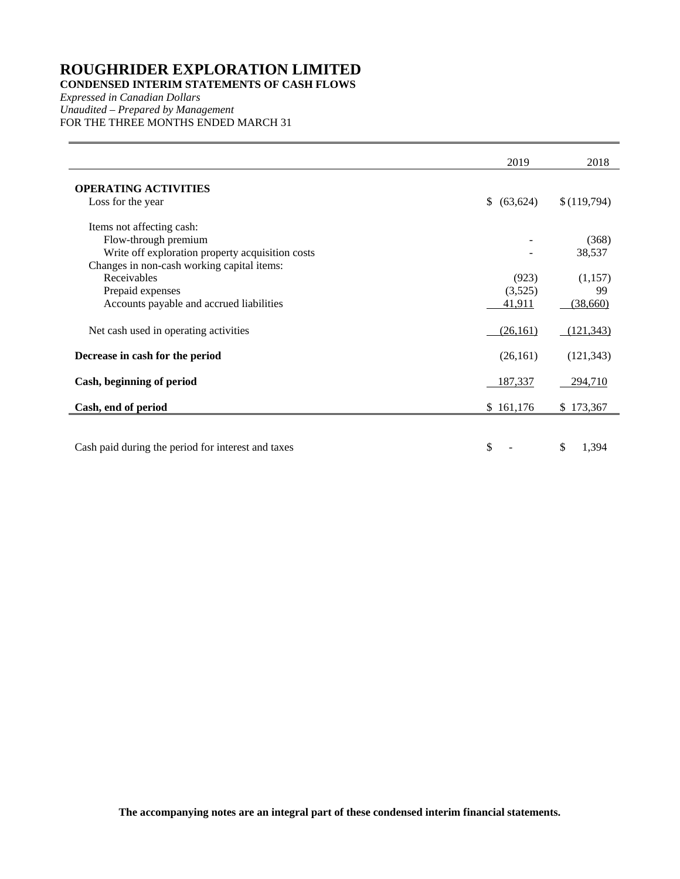**CONDENSED INTERIM STATEMENTS OF CASH FLOWS** 

*Expressed in Canadian Dollars Unaudited – Prepared by Management* FOR THE THREE MONTHS ENDED MARCH 31

|                                                    | 2019        | 2018        |
|----------------------------------------------------|-------------|-------------|
| <b>OPERATING ACTIVITIES</b>                        |             |             |
| Loss for the year                                  | \$ (63,624) | \$(119,794) |
| Items not affecting cash:                          |             |             |
| Flow-through premium                               |             | (368)       |
| Write off exploration property acquisition costs   |             | 38,537      |
| Changes in non-cash working capital items:         |             |             |
| Receivables                                        | (923)       | (1,157)     |
| Prepaid expenses                                   | (3,525)     | 99          |
| Accounts payable and accrued liabilities           | 41,911      | (38,660)    |
| Net cash used in operating activities              | (26,161)    | (121, 343)  |
| Decrease in cash for the period                    | (26,161)    | (121, 343)  |
| Cash, beginning of period                          | 187,337     | 294,710     |
| Cash, end of period                                | \$161,176   | \$173,367   |
|                                                    |             |             |
| Cash paid during the period for interest and taxes | \$          | \$<br>1,394 |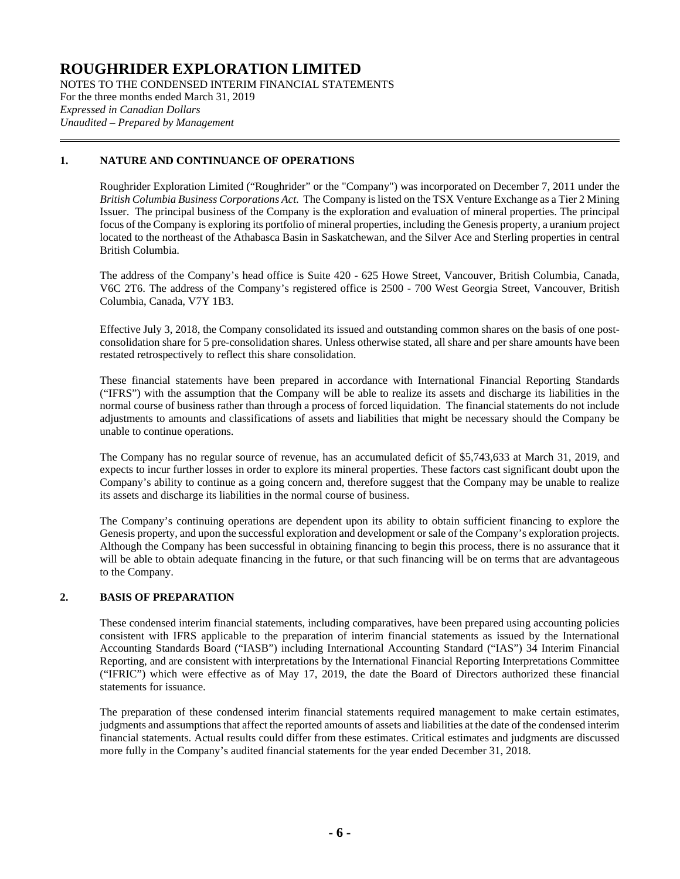NOTES TO THE CONDENSED INTERIM FINANCIAL STATEMENTS For the three months ended March 31, 2019 *Expressed in Canadian Dollars Unaudited – Prepared by Management*

## **1. NATURE AND CONTINUANCE OF OPERATIONS**

Roughrider Exploration Limited ("Roughrider" or the "Company") was incorporated on December 7, 2011 under the *British Columbia Business Corporations Act*. The Company is listed on the TSX Venture Exchange as a Tier 2 Mining Issuer. The principal business of the Company is the exploration and evaluation of mineral properties. The principal focus of the Company is exploring its portfolio of mineral properties, including the Genesis property, a uranium project located to the northeast of the Athabasca Basin in Saskatchewan, and the Silver Ace and Sterling properties in central British Columbia.

The address of the Company's head office is Suite 420 - 625 Howe Street, Vancouver, British Columbia, Canada, V6C 2T6. The address of the Company's registered office is 2500 - 700 West Georgia Street, Vancouver, British Columbia, Canada, V7Y 1B3.

Effective July 3, 2018, the Company consolidated its issued and outstanding common shares on the basis of one postconsolidation share for 5 pre-consolidation shares. Unless otherwise stated, all share and per share amounts have been restated retrospectively to reflect this share consolidation.

These financial statements have been prepared in accordance with International Financial Reporting Standards ("IFRS") with the assumption that the Company will be able to realize its assets and discharge its liabilities in the normal course of business rather than through a process of forced liquidation. The financial statements do not include adjustments to amounts and classifications of assets and liabilities that might be necessary should the Company be unable to continue operations.

The Company has no regular source of revenue, has an accumulated deficit of \$5,743,633 at March 31, 2019, and expects to incur further losses in order to explore its mineral properties. These factors cast significant doubt upon the Company's ability to continue as a going concern and, therefore suggest that the Company may be unable to realize its assets and discharge its liabilities in the normal course of business.

The Company's continuing operations are dependent upon its ability to obtain sufficient financing to explore the Genesis property, and upon the successful exploration and development or sale of the Company's exploration projects. Although the Company has been successful in obtaining financing to begin this process, there is no assurance that it will be able to obtain adequate financing in the future, or that such financing will be on terms that are advantageous to the Company.

## **2. BASIS OF PREPARATION**

These condensed interim financial statements, including comparatives, have been prepared using accounting policies consistent with IFRS applicable to the preparation of interim financial statements as issued by the International Accounting Standards Board ("IASB") including International Accounting Standard ("IAS") 34 Interim Financial Reporting, and are consistent with interpretations by the International Financial Reporting Interpretations Committee ("IFRIC") which were effective as of May 17, 2019, the date the Board of Directors authorized these financial statements for issuance.

The preparation of these condensed interim financial statements required management to make certain estimates, judgments and assumptions that affect the reported amounts of assets and liabilities at the date of the condensed interim financial statements. Actual results could differ from these estimates. Critical estimates and judgments are discussed more fully in the Company's audited financial statements for the year ended December 31, 2018.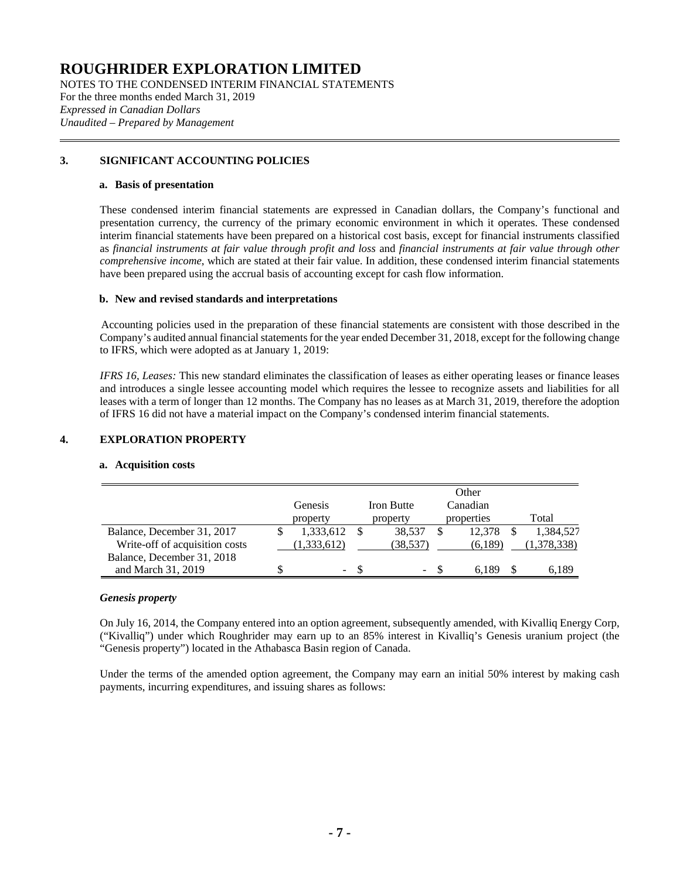NOTES TO THE CONDENSED INTERIM FINANCIAL STATEMENTS For the three months ended March 31, 2019 *Expressed in Canadian Dollars Unaudited – Prepared by Management*

## **3. SIGNIFICANT ACCOUNTING POLICIES**

#### **a. Basis of presentation**

These condensed interim financial statements are expressed in Canadian dollars, the Company's functional and presentation currency, the currency of the primary economic environment in which it operates. These condensed interim financial statements have been prepared on a historical cost basis, except for financial instruments classified as *financial instruments at fair value through profit and loss* and *financial instruments at fair value through other comprehensive income*, which are stated at their fair value. In addition, these condensed interim financial statements have been prepared using the accrual basis of accounting except for cash flow information.

## **b. New and revised standards and interpretations**

Accounting policies used in the preparation of these financial statements are consistent with those described in the Company's audited annual financial statements for the year ended December 31, 2018, except for the following change to IFRS, which were adopted as at January 1, 2019:

*IFRS 16, Leases:* This new standard eliminates the classification of leases as either operating leases or finance leases and introduces a single lessee accounting model which requires the lessee to recognize assets and liabilities for all leases with a term of longer than 12 months. The Company has no leases as at March 31, 2019, therefore the adoption of IFRS 16 did not have a material impact on the Company's condensed interim financial statements.

## **4. EXPLORATION PROPERTY**

## **a. Acquisition costs**

|                                | <b>Genesis</b><br>property | <b>Iron Butte</b><br>property | Other<br>Canadian<br>properties | Total       |
|--------------------------------|----------------------------|-------------------------------|---------------------------------|-------------|
| Balance, December 31, 2017     | 1,333,612                  | 38.537                        | 12.378                          | 1,384,527   |
| Write-off of acquisition costs | 1,333,612                  | (38,537)                      | (6,189)                         | (1,378,338) |
| Balance, December 31, 2018     |                            |                               |                                 |             |
| and March 31, 2019             | $\sim$                     | $\overline{\phantom{a}}$      |                                 | 6.189       |

## *Genesis property*

On July 16, 2014, the Company entered into an option agreement, subsequently amended, with Kivalliq Energy Corp, ("Kivalliq") under which Roughrider may earn up to an 85% interest in Kivalliq's Genesis uranium project (the "Genesis property") located in the Athabasca Basin region of Canada.

Under the terms of the amended option agreement, the Company may earn an initial 50% interest by making cash payments, incurring expenditures, and issuing shares as follows: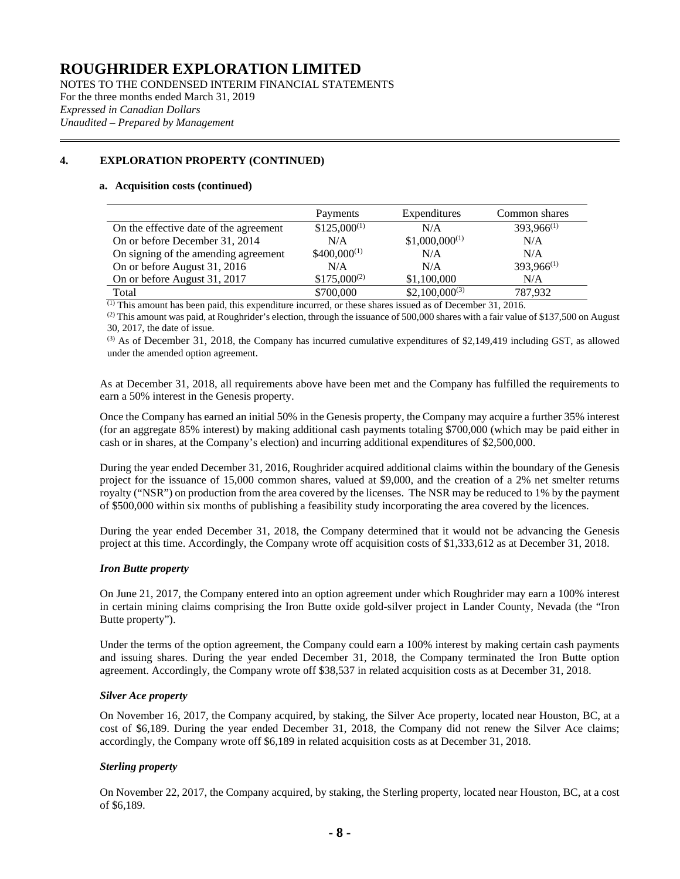NOTES TO THE CONDENSED INTERIM FINANCIAL STATEMENTS For the three months ended March 31, 2019 *Expressed in Canadian Dollars Unaudited – Prepared by Management*

## **4. EXPLORATION PROPERTY (CONTINUED)**

#### **a. Acquisition costs (continued)**

|                                        | Payments         | Expenditures       | Common shares   |
|----------------------------------------|------------------|--------------------|-----------------|
| On the effective date of the agreement | $$125,000^{(1)}$ | N/A                | $393,966^{(1)}$ |
| On or before December 31, 2014         | N/A              | $$1,000,000^{(1)}$ | N/A             |
| On signing of the amending agreement   | $$400,000^{(1)}$ | N/A                | N/A             |
| On or before August 31, 2016           | N/A              | N/A                | $393,966^{(1)}$ |
| On or before August 31, 2017           | $$175,000^{(2)}$ | \$1,100,000        | N/A             |
| Total                                  | \$700,000        | $$2,100,000^{(3)}$ | 787.932         |

(1) This amount has been paid, this expenditure incurred, or these shares issued as of December 31, 2016.

 $^{(2)}$  This amount was paid, at Roughrider's election, through the issuance of 500,000 shares with a fair value of \$137,500 on August 30, 2017, the date of issue.

 $^{(3)}$  As of December 31, 2018, the Company has incurred cumulative expenditures of \$2,149,419 including GST, as allowed under the amended option agreement.

As at December 31, 2018, all requirements above have been met and the Company has fulfilled the requirements to earn a 50% interest in the Genesis property.

Once the Company has earned an initial 50% in the Genesis property, the Company may acquire a further 35% interest (for an aggregate 85% interest) by making additional cash payments totaling \$700,000 (which may be paid either in cash or in shares, at the Company's election) and incurring additional expenditures of \$2,500,000.

During the year ended December 31, 2016, Roughrider acquired additional claims within the boundary of the Genesis project for the issuance of 15,000 common shares, valued at \$9,000, and the creation of a 2% net smelter returns royalty ("NSR") on production from the area covered by the licenses. The NSR may be reduced to 1% by the payment of \$500,000 within six months of publishing a feasibility study incorporating the area covered by the licences.

During the year ended December 31, 2018, the Company determined that it would not be advancing the Genesis project at this time. Accordingly, the Company wrote off acquisition costs of \$1,333,612 as at December 31, 2018.

## *Iron Butte property*

On June 21, 2017, the Company entered into an option agreement under which Roughrider may earn a 100% interest in certain mining claims comprising the Iron Butte oxide gold-silver project in Lander County, Nevada (the "Iron Butte property").

Under the terms of the option agreement, the Company could earn a 100% interest by making certain cash payments and issuing shares. During the year ended December 31, 2018, the Company terminated the Iron Butte option agreement. Accordingly, the Company wrote off \$38,537 in related acquisition costs as at December 31, 2018.

## *Silver Ace property*

On November 16, 2017, the Company acquired, by staking, the Silver Ace property, located near Houston, BC, at a cost of \$6,189. During the year ended December 31, 2018, the Company did not renew the Silver Ace claims; accordingly, the Company wrote off \$6,189 in related acquisition costs as at December 31, 2018.

## *Sterling property*

On November 22, 2017, the Company acquired, by staking, the Sterling property, located near Houston, BC, at a cost of \$6,189.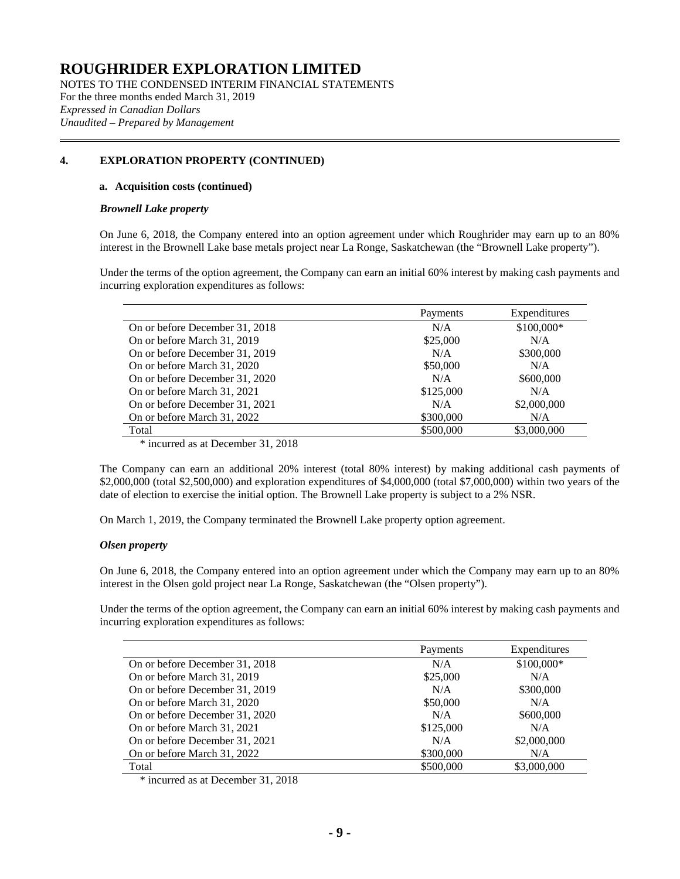NOTES TO THE CONDENSED INTERIM FINANCIAL STATEMENTS For the three months ended March 31, 2019 *Expressed in Canadian Dollars Unaudited – Prepared by Management*

## **4. EXPLORATION PROPERTY (CONTINUED)**

#### **a. Acquisition costs (continued)**

#### *Brownell Lake property*

On June 6, 2018, the Company entered into an option agreement under which Roughrider may earn up to an 80% interest in the Brownell Lake base metals project near La Ronge, Saskatchewan (the "Brownell Lake property").

Under the terms of the option agreement, the Company can earn an initial 60% interest by making cash payments and incurring exploration expenditures as follows:

|                                | Payments  | Expenditures |
|--------------------------------|-----------|--------------|
| On or before December 31, 2018 | N/A       | \$100,000*   |
| On or before March 31, 2019    | \$25,000  | N/A          |
| On or before December 31, 2019 | N/A       | \$300,000    |
| On or before March 31, 2020    | \$50,000  | N/A          |
| On or before December 31, 2020 | N/A       | \$600,000    |
| On or before March 31, 2021    | \$125,000 | N/A          |
| On or before December 31, 2021 | N/A       | \$2,000,000  |
| On or before March 31, 2022    | \$300,000 | N/A          |
| Total                          | \$500,000 | \$3,000,000  |

\* incurred as at December 31, 2018

The Company can earn an additional 20% interest (total 80% interest) by making additional cash payments of \$2,000,000 (total \$2,500,000) and exploration expenditures of \$4,000,000 (total \$7,000,000) within two years of the date of election to exercise the initial option. The Brownell Lake property is subject to a 2% NSR.

On March 1, 2019, the Company terminated the Brownell Lake property option agreement.

## *Olsen property*

On June 6, 2018, the Company entered into an option agreement under which the Company may earn up to an 80% interest in the Olsen gold project near La Ronge, Saskatchewan (the "Olsen property").

Under the terms of the option agreement, the Company can earn an initial 60% interest by making cash payments and incurring exploration expenditures as follows:

|                                | Payments  | Expenditures |
|--------------------------------|-----------|--------------|
| On or before December 31, 2018 | N/A       | \$100,000*   |
| On or before March 31, 2019    | \$25,000  | N/A          |
| On or before December 31, 2019 | N/A       | \$300,000    |
| On or before March 31, 2020    | \$50,000  | N/A          |
| On or before December 31, 2020 | N/A       | \$600,000    |
| On or before March 31, 2021    | \$125,000 | N/A          |
| On or before December 31, 2021 | N/A       | \$2,000,000  |
| On or before March 31, 2022    | \$300,000 | N/A          |
| Total                          | \$500,000 | \$3,000,000  |

\* incurred as at December 31, 2018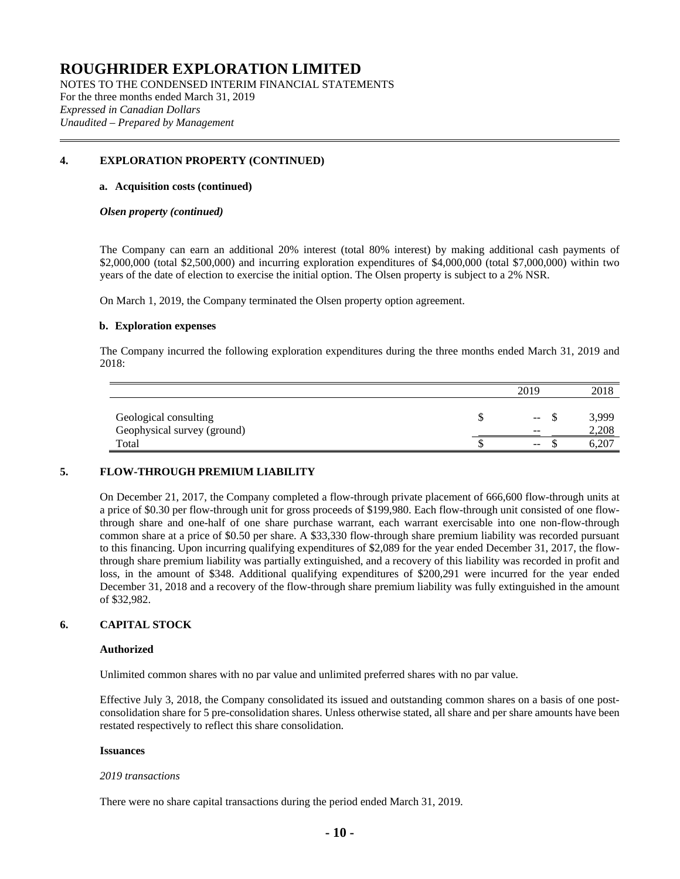NOTES TO THE CONDENSED INTERIM FINANCIAL STATEMENTS For the three months ended March 31, 2019 *Expressed in Canadian Dollars Unaudited – Prepared by Management*

## **4. EXPLORATION PROPERTY (CONTINUED)**

#### **a. Acquisition costs (continued)**

#### *Olsen property (continued)*

The Company can earn an additional 20% interest (total 80% interest) by making additional cash payments of \$2,000,000 (total \$2,500,000) and incurring exploration expenditures of \$4,000,000 (total \$7,000,000) within two years of the date of election to exercise the initial option. The Olsen property is subject to a 2% NSR.

On March 1, 2019, the Company terminated the Olsen property option agreement.

#### **b. Exploration expenses**

The Company incurred the following exploration expenditures during the three months ended March 31, 2019 and 2018:

|                             | 2019                     | 2018  |
|-----------------------------|--------------------------|-------|
|                             |                          |       |
| Geological consulting       | $- -$                    | 3,999 |
| Geophysical survey (ground) | $-$                      | 2,208 |
| Total                       | $\overline{\phantom{m}}$ | 6,207 |

## **5. FLOW-THROUGH PREMIUM LIABILITY**

On December 21, 2017, the Company completed a flow-through private placement of 666,600 flow-through units at a price of \$0.30 per flow-through unit for gross proceeds of \$199,980. Each flow-through unit consisted of one flowthrough share and one-half of one share purchase warrant, each warrant exercisable into one non-flow-through common share at a price of \$0.50 per share. A \$33,330 flow-through share premium liability was recorded pursuant to this financing. Upon incurring qualifying expenditures of \$2,089 for the year ended December 31, 2017, the flowthrough share premium liability was partially extinguished, and a recovery of this liability was recorded in profit and loss, in the amount of \$348. Additional qualifying expenditures of \$200,291 were incurred for the year ended December 31, 2018 and a recovery of the flow-through share premium liability was fully extinguished in the amount of \$32,982.

## **6. CAPITAL STOCK**

#### **Authorized**

Unlimited common shares with no par value and unlimited preferred shares with no par value.

Effective July 3, 2018, the Company consolidated its issued and outstanding common shares on a basis of one postconsolidation share for 5 pre-consolidation shares. Unless otherwise stated, all share and per share amounts have been restated respectively to reflect this share consolidation.

#### **Issuances**

#### *2019 transactions*

There were no share capital transactions during the period ended March 31, 2019.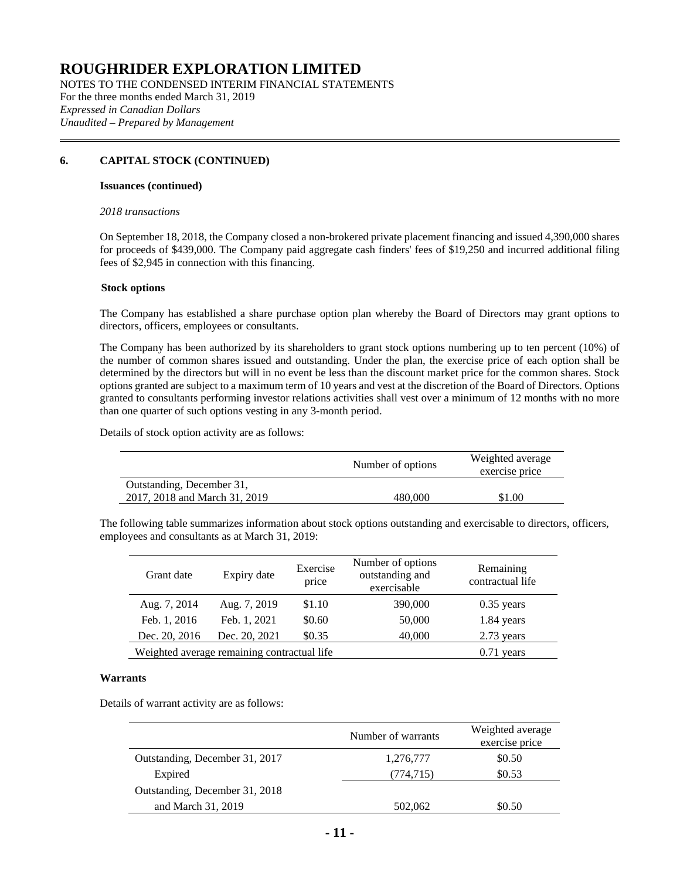NOTES TO THE CONDENSED INTERIM FINANCIAL STATEMENTS For the three months ended March 31, 2019 *Expressed in Canadian Dollars Unaudited – Prepared by Management*

## **6. CAPITAL STOCK (CONTINUED)**

#### **Issuances (continued)**

#### *2018 transactions*

On September 18, 2018, the Company closed a non-brokered private placement financing and issued 4,390,000 shares for proceeds of \$439,000. The Company paid aggregate cash finders' fees of \$19,250 and incurred additional filing fees of \$2,945 in connection with this financing.

#### **Stock options**

The Company has established a share purchase option plan whereby the Board of Directors may grant options to directors, officers, employees or consultants.

The Company has been authorized by its shareholders to grant stock options numbering up to ten percent (10%) of the number of common shares issued and outstanding. Under the plan, the exercise price of each option shall be determined by the directors but will in no event be less than the discount market price for the common shares. Stock options granted are subject to a maximum term of 10 years and vest at the discretion of the Board of Directors. Options granted to consultants performing investor relations activities shall vest over a minimum of 12 months with no more than one quarter of such options vesting in any 3-month period.

Details of stock option activity are as follows:

|                               | Number of options | Weighted average<br>exercise price |
|-------------------------------|-------------------|------------------------------------|
| Outstanding, December 31,     |                   |                                    |
| 2017, 2018 and March 31, 2019 | 480.000           | \$1.00                             |

The following table summarizes information about stock options outstanding and exercisable to directors, officers, employees and consultants as at March 31, 2019:

| Grant date    | Expiry date                                 | Exercise<br>price | Number of options<br>outstanding and<br>exercisable | Remaining<br>contractual life |
|---------------|---------------------------------------------|-------------------|-----------------------------------------------------|-------------------------------|
| Aug. 7, 2014  | Aug. 7, 2019                                | \$1.10            | 390,000                                             | $0.35$ years                  |
| Feb. 1, 2016  | Feb. 1, 2021                                | \$0.60            | 50,000                                              | 1.84 years                    |
| Dec. 20, 2016 | Dec. 20, 2021                               | \$0.35            | 40,000                                              | 2.73 years                    |
|               | Weighted average remaining contractual life |                   |                                                     | $0.71$ years                  |

#### **Warrants**

Details of warrant activity are as follows:

|                                | Number of warrants | Weighted average<br>exercise price |
|--------------------------------|--------------------|------------------------------------|
| Outstanding, December 31, 2017 | 1,276,777          | \$0.50                             |
| Expired                        | (774, 715)         | \$0.53                             |
| Outstanding, December 31, 2018 |                    |                                    |
| and March 31, 2019             | 502,062            | \$0.50                             |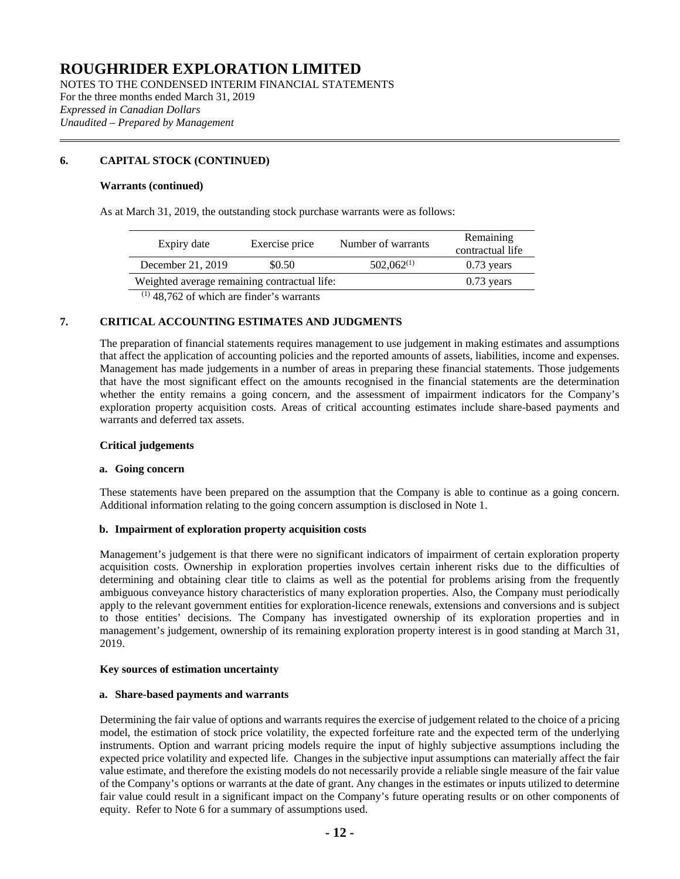NOTES TO THE CONDENSED INTERIM FINANCIAL STATEMENTS For the three months ended March 31, 2019 *Expressed in Canadian Dollars Unaudited – Prepared by Management*

## **6. CAPITAL STOCK (CONTINUED)**

#### **Warrants (continued)**

As at March 31, 2019, the outstanding stock purchase warrants were as follows:

| Expiry date                                  | Exercise price | Number of warrants | Remaining<br>contractual life |
|----------------------------------------------|----------------|--------------------|-------------------------------|
| December 21, 2019                            | \$0.50         | $502,062^{(1)}$    | $0.73$ years                  |
| Weighted average remaining contractual life: |                |                    | $0.73$ years                  |
| $(1)$ 48.762 of which are finder's warrants  |                |                    |                               |

48,762 of which are finder's warrants

## **7. CRITICAL ACCOUNTING ESTIMATES AND JUDGMENTS**

The preparation of financial statements requires management to use judgement in making estimates and assumptions that affect the application of accounting policies and the reported amounts of assets, liabilities, income and expenses. Management has made judgements in a number of areas in preparing these financial statements. Those judgements that have the most significant effect on the amounts recognised in the financial statements are the determination whether the entity remains a going concern, and the assessment of impairment indicators for the Company's exploration property acquisition costs. Areas of critical accounting estimates include share-based payments and warrants and deferred tax assets.

#### **Critical judgements**

#### **a. Going concern**

These statements have been prepared on the assumption that the Company is able to continue as a going concern. Additional information relating to the going concern assumption is disclosed in Note 1.

## **b. Impairment of exploration property acquisition costs**

Management's judgement is that there were no significant indicators of impairment of certain exploration property acquisition costs. Ownership in exploration properties involves certain inherent risks due to the difficulties of determining and obtaining clear title to claims as well as the potential for problems arising from the frequently ambiguous conveyance history characteristics of many exploration properties. Also, the Company must periodically apply to the relevant government entities for exploration-licence renewals, extensions and conversions and is subject to those entities' decisions. The Company has investigated ownership of its exploration properties and in management's judgement, ownership of its remaining exploration property interest is in good standing at March 31, 2019.

#### **Key sources of estimation uncertainty**

#### **a. Share-based payments and warrants**

Determining the fair value of options and warrants requires the exercise of judgement related to the choice of a pricing model, the estimation of stock price volatility, the expected forfeiture rate and the expected term of the underlying instruments. Option and warrant pricing models require the input of highly subjective assumptions including the expected price volatility and expected life. Changes in the subjective input assumptions can materially affect the fair value estimate, and therefore the existing models do not necessarily provide a reliable single measure of the fair value of the Company's options or warrants at the date of grant. Any changes in the estimates or inputs utilized to determine fair value could result in a significant impact on the Company's future operating results or on other components of equity. Refer to Note 6 for a summary of assumptions used.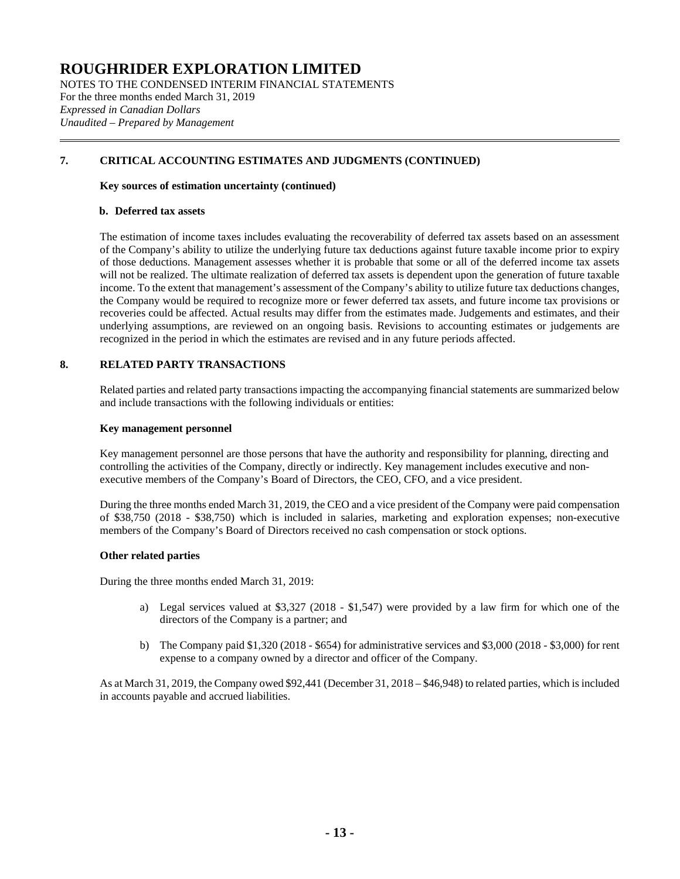NOTES TO THE CONDENSED INTERIM FINANCIAL STATEMENTS For the three months ended March 31, 2019 *Expressed in Canadian Dollars Unaudited – Prepared by Management*

## **7. CRITICAL ACCOUNTING ESTIMATES AND JUDGMENTS (CONTINUED)**

#### **Key sources of estimation uncertainty (continued)**

#### **b. Deferred tax assets**

The estimation of income taxes includes evaluating the recoverability of deferred tax assets based on an assessment of the Company's ability to utilize the underlying future tax deductions against future taxable income prior to expiry of those deductions. Management assesses whether it is probable that some or all of the deferred income tax assets will not be realized. The ultimate realization of deferred tax assets is dependent upon the generation of future taxable income. To the extent that management's assessment of the Company's ability to utilize future tax deductions changes, the Company would be required to recognize more or fewer deferred tax assets, and future income tax provisions or recoveries could be affected. Actual results may differ from the estimates made. Judgements and estimates, and their underlying assumptions, are reviewed on an ongoing basis. Revisions to accounting estimates or judgements are recognized in the period in which the estimates are revised and in any future periods affected.

## **8. RELATED PARTY TRANSACTIONS**

Related parties and related party transactions impacting the accompanying financial statements are summarized below and include transactions with the following individuals or entities:

#### **Key management personnel**

Key management personnel are those persons that have the authority and responsibility for planning, directing and controlling the activities of the Company, directly or indirectly. Key management includes executive and nonexecutive members of the Company's Board of Directors, the CEO, CFO, and a vice president.

During the three months ended March 31, 2019, the CEO and a vice president of the Company were paid compensation of \$38,750 (2018 - \$38,750) which is included in salaries, marketing and exploration expenses; non-executive members of the Company's Board of Directors received no cash compensation or stock options.

## **Other related parties**

During the three months ended March 31, 2019:

- a) Legal services valued at \$3,327 (2018 \$1,547) were provided by a law firm for which one of the directors of the Company is a partner; and
- b) The Company paid \$1,320 (2018 \$654) for administrative services and \$3,000 (2018 \$3,000) for rent expense to a company owned by a director and officer of the Company.

As at March 31, 2019, the Company owed \$92,441 (December 31, 2018 – \$46,948) to related parties, which is included in accounts payable and accrued liabilities.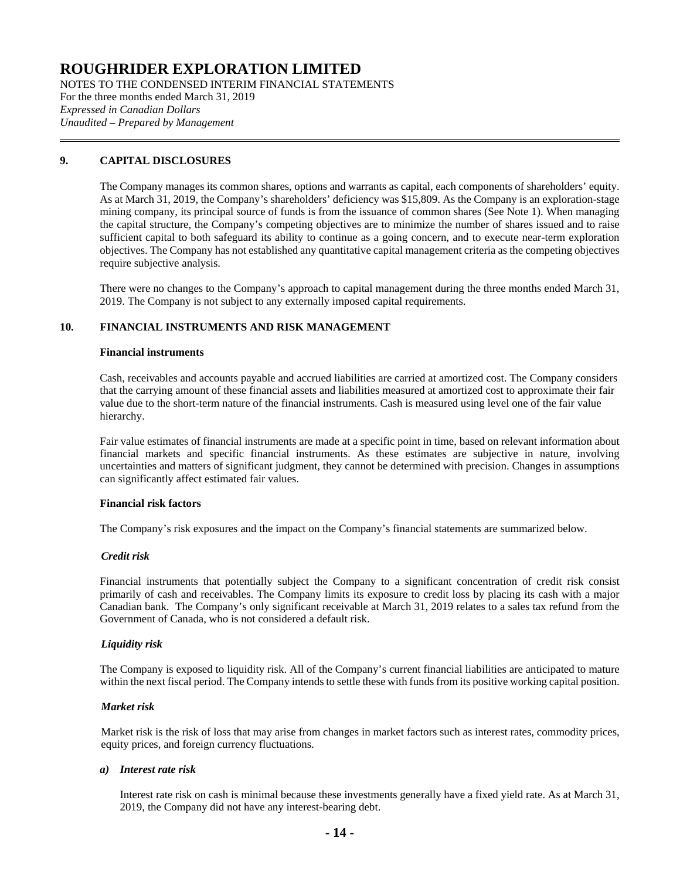NOTES TO THE CONDENSED INTERIM FINANCIAL STATEMENTS For the three months ended March 31, 2019 *Expressed in Canadian Dollars Unaudited – Prepared by Management*

## **9. CAPITAL DISCLOSURES**

The Company manages its common shares, options and warrants as capital, each components of shareholders' equity. As at March 31, 2019, the Company's shareholders' deficiency was \$15,809. As the Company is an exploration-stage mining company, its principal source of funds is from the issuance of common shares (See Note 1). When managing the capital structure, the Company's competing objectives are to minimize the number of shares issued and to raise sufficient capital to both safeguard its ability to continue as a going concern, and to execute near-term exploration objectives. The Company has not established any quantitative capital management criteria as the competing objectives require subjective analysis.

There were no changes to the Company's approach to capital management during the three months ended March 31, 2019. The Company is not subject to any externally imposed capital requirements.

## **10. FINANCIAL INSTRUMENTS AND RISK MANAGEMENT**

#### **Financial instruments**

Cash, receivables and accounts payable and accrued liabilities are carried at amortized cost. The Company considers that the carrying amount of these financial assets and liabilities measured at amortized cost to approximate their fair value due to the short-term nature of the financial instruments. Cash is measured using level one of the fair value hierarchy.

Fair value estimates of financial instruments are made at a specific point in time, based on relevant information about financial markets and specific financial instruments. As these estimates are subjective in nature, involving uncertainties and matters of significant judgment, they cannot be determined with precision. Changes in assumptions can significantly affect estimated fair values.

## **Financial risk factors**

The Company's risk exposures and the impact on the Company's financial statements are summarized below.

## *Credit risk*

Financial instruments that potentially subject the Company to a significant concentration of credit risk consist primarily of cash and receivables. The Company limits its exposure to credit loss by placing its cash with a major Canadian bank. The Company's only significant receivable at March 31, 2019 relates to a sales tax refund from the Government of Canada, who is not considered a default risk.

## *Liquidity risk*

The Company is exposed to liquidity risk. All of the Company's current financial liabilities are anticipated to mature within the next fiscal period. The Company intends to settle these with funds from its positive working capital position.

## *Market risk*

Market risk is the risk of loss that may arise from changes in market factors such as interest rates, commodity prices, equity prices, and foreign currency fluctuations.

#### *a) Interest rate risk*

Interest rate risk on cash is minimal because these investments generally have a fixed yield rate. As at March 31, 2019, the Company did not have any interest-bearing debt.